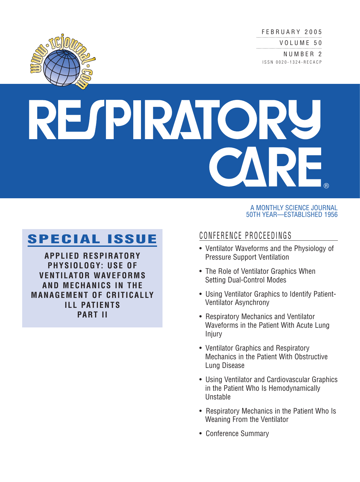FEBRUARY 2005

VOLUME 50

NUMBER 2 ISSN 0020-1324-RECACP



## RESPIRATORU ®

## **SPECIAL ISSUE**

**APPLIED RESPIRATORY PHYSIOLOGY: USE OF VENTILATOR WAVEFORMS AND MECHANICS IN THE MANAGEMENT OF CRITICALLY ILL PATIENTS PART II**

## A MONTHLY SCIENCE JOURNAL 50TH YEAR—ESTABLISHED 1956

## CONFERENCE PROCEEDINGS

- Ventilator Waveforms and the Physiology of Pressure Support Ventilation
- The Role of Ventilator Graphics When Setting Dual-Control Modes
- Using Ventilator Graphics to Identify Patient-Ventilator Asynchrony
- Respiratory Mechanics and Ventilator Waveforms in the Patient With Acute Lung Injury
- Ventilator Graphics and Respiratory Mechanics in the Patient With Obstructive Lung Disease
- Using Ventilator and Cardiovascular Graphics in the Patient Who Is Hemodynamically Unstable
- Respiratory Mechanics in the Patient Who Is Weaning From the Ventilator
- Conference Summary